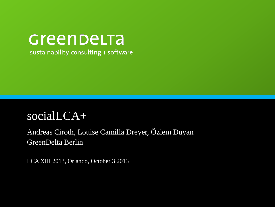### Greenbelta sustainability consulting + software

### socialLCA+

### Andreas Ciroth, Louise Camilla Dreyer, Özlem Duyan GreenDelta Berlin

LCA XIII 2013, Orlando, October 3 2013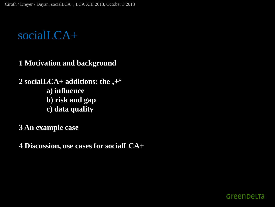### socialLCA+

**1 Motivation and background**

**2 socialLCA+ additions: the '+' a) influence b) risk and gap c) data quality**

**3 An example case**

**4 Discussion, use cases for socialLCA+**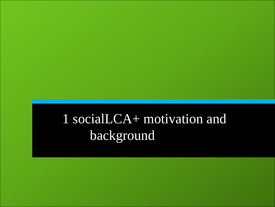# 1 socialLCA+ motivation and background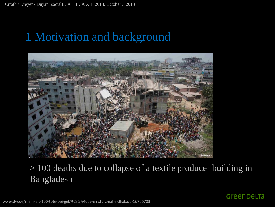

### > 100 deaths due to collapse of a textile producer building in Bangladesh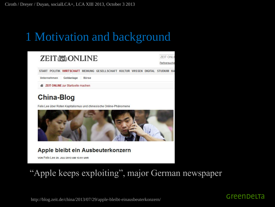|                                                                                                                                                                                                                                      | <b>7FIT ONLI</b> |
|--------------------------------------------------------------------------------------------------------------------------------------------------------------------------------------------------------------------------------------|------------------|
| <b>ZEITA ONLINE</b>                                                                                                                                                                                                                  | Partnersuche     |
| START POLITIK WIRTSCHAFT MEINUNG GESELLSCHAFT KULTUR WISSEN DIGITAL STUDIUM KA                                                                                                                                                       |                  |
| Unternehmen<br>Geldanlage<br>Börse                                                                                                                                                                                                   |                  |
| <b>EXAMPLE 25 25 21 21 21 21 21 21 21 22 23 24 25 26 27 28 29 20 21 22 23 24 25 26 27 28 28 28 29 20 21 22 23 24 25 26 27 28 28 29 20 21 22 23 24 25 26 27 28 28 29 29 20 21 22 23 24 25 26 27 28 28 29 29 20 21 22 23 24 25 26 </b> |                  |

#### China-Blog

Felix Lee über Roten Kapitalismus und chinesische Online-Phänomene



Apple bleibt ein Ausbeuterkonzern

VON Felix Lee 29. JULI 2013 UM 13:51 UHR

### "Apple keeps exploiting", major German newspaper

http://blog.zeit.de/china/2013/07/29/apple-bleibt-einausbeuterkonzern/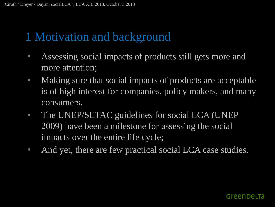- Assessing social impacts of products still gets more and more attention;
- Making sure that social impacts of products are acceptable is of high interest for companies, policy makers, and many consumers.
- The UNEP/SETAC guidelines for social LCA (UNEP 2009) have been a milestone for assessing the social impacts over the entire life cycle;
- And yet, there are few practical social LCA case studies.

#### Greenbelfa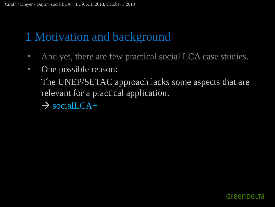- And yet, there are few practical social LCA case studies.
- One possible reason: The UNEP/SETAC approach lacks some aspects that are
	- relevant for a practical application.
	- $\rightarrow$  socialLCA+

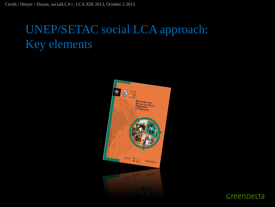## UNEP/SETAC social LCA approach: Key elements



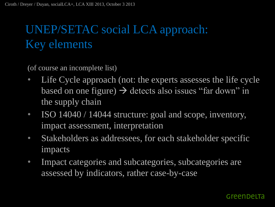# UNEP/SETAC social LCA approach: Key elements

(of course an incomplete list)

- Life Cycle approach (not: the experts assesses the life cycle based on one figure)  $\rightarrow$  detects also issues "far down" in the supply chain
- ISO 14040 / 14044 structure: goal and scope, inventory, impact assessment, interpretation
- Stakeholders as addressees, for each stakeholder specific impacts
- Impact categories and subcategories, subcategories are assessed by indicators, rather case-by-case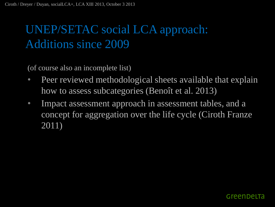## UNEP/SETAC social LCA approach: Additions since 2009

(of course also an incomplete list)

- Peer reviewed methodological sheets available that explain how to assess subcategories (Benoît et al. 2013)
- Impact assessment approach in assessment tables, and a concept for aggregation over the life cycle (Ciroth Franze 2011)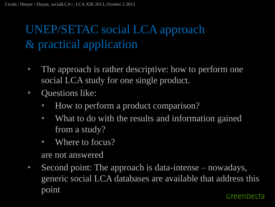# UNEP/SETAC social LCA approach & practical application

- The approach is rather descriptive: how to perform one social LCA study for one single product.
- **Questions like:** 
	- How to perform a product comparison?
	- What to do with the results and information gained from a study?
	- Where to focus?

are not answered

• Second point: The approach is data-intense – nowadays, generic social LCA databases are available that address this pointGreenbelta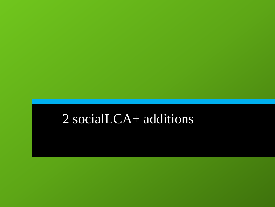# socialLCA+ additions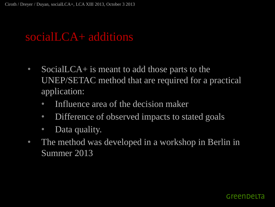### socialLCA+ additions

- SocialLCA+ is meant to add those parts to the UNEP/SETAC method that are required for a practical application:
	- Influence area of the decision maker
	- Difference of observed impacts to stated goals
	- Data quality.
- The method was developed in a workshop in Berlin in Summer 2013

#### Greenbelta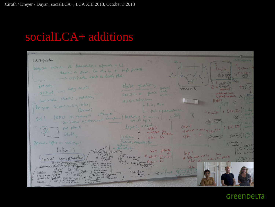### socialLCA+ additions

| artification                                                                                                                        |                                                                                       |                                                                |                                                 |
|-------------------------------------------------------------------------------------------------------------------------------------|---------------------------------------------------------------------------------------|----------------------------------------------------------------|-------------------------------------------------|
| Leguises writing of tracechoidity + information on LC                                                                               |                                                                                       |                                                                | $A)$ in $A$<br>124.144                          |
| deposit a food. Can die by my high process.<br>-> cepitreta heeds to leady state                                                    |                                                                                       |                                                                | (SEEKIUNA)<br>Q(T)                              |
|                                                                                                                                     |                                                                                       |                                                                | LEEK DUFO AM                                    |
| Ind perly.<br>actual -> hay report                                                                                                  | data quality<br>specti                                                                | raceability                                                    | (id Assurance)<br>$= 60 - 10$                   |
|                                                                                                                                     | Jacobso<br>Specific or junio<br>winter                                                |                                                                | feli belle date quality<br>Anyton Low privity   |
| cestibilities checks, validity                                                                                                      | Krifty lative her<br>$\vdash \vdash \vdash \vdash \vdash \vdash \vdash \vdash \vdash$ |                                                                | f(z)                                            |
| Belgian sustainability label<br>(Bernard)                                                                                           | I topic Reported with the                                                             |                                                                | $3E34.594$ 1 $\Gamma49.524$                     |
| 8000 as Leample<br>Continues in provenant houseuse ? Modeling consistence ?<br>SA                                                   | , da                                                                                  |                                                                | (ACT)                                           |
|                                                                                                                                     |                                                                                       |                                                                | (SEEK INFLUENCE)<br>$\mathcal{L}^{\mathcal{L}}$ |
| me plant                                                                                                                            | legilly use fast 3<br>al holsput - ton action                                         | (ax)<br>al hol spo - acho 4 7 3 6 245                          | $2$ $I25, I45$                                  |
| $60 - 6$                                                                                                                            | 4 hain<br>$51$ fine - fine                                                            | $5)$ fix - 1 fix                                               | (ASSURANCE)<br>(ASSURANCE)                      |
| Bernard + Sophie as certifyer                                                                                                       | which desirable for                                                                   |                                                                | Courony Multiplicate                            |
| $10 + se + 1$<br>Register of<br>Religbility                                                                                         | - dere feller him<br>$G + 4$ for below                                                | Cape L                                                         | $SPG \leq 65$<br>DG 1-6 Scal                    |
| Social Lompersation                                                                                                                 | validation al hollen "for zue pris.<br>$\frac{off}{data}$<br>Leech                    | you below data guints love<br>a) hotel int , actor, and pointy | $\frac{Da-6}{SPa-2}$ } $n -$                    |
| PTOCCSS<br>1 where Company more cost is so cial<br>TUPICY SPG1 DR6<br>Influence: Quince to improve at them<br>$TopicZ$ $SPSJ$ $D43$ |                                                                                       | bh                                                             |                                                 |
| Resu<br>$\Box$<br><b>I EACH PROCESS</b><br>Procos 1<br>The SPG - DQ - TANG SETEN                                                    | > specificity<br>$ -\sqrt{24-44+148}$                                                 | PUL6 and 3870-<br>nota and sect<br>that abbrance               |                                                 |
| Stake action<br>SAS < DQ= MEEK<br>$\sum$ seck info                                                                                  |                                                                                       |                                                                |                                                 |
| Processe<br>Seek lives scores<br>E scale lato scales.                                                                               |                                                                                       |                                                                |                                                 |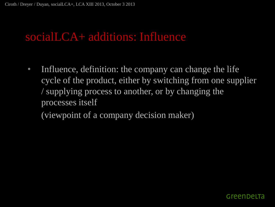### socialLCA+ additions: Influence

• Influence, definition: the company can change the life cycle of the product, either by switching from one supplier / supplying process to another, or by changing the processes itself

(viewpoint of a company decision maker)

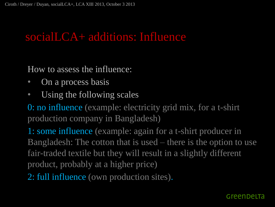### socialLCA+ additions: Influence

How to assess the influence:

- On a process basis
- Using the following scales

0: no influence (example: electricity grid mix, for a t-shirt production company in Bangladesh)

1: some influence (example: again for a t-shirt producer in Bangladesh: The cotton that is used – there is the option to use fair-traded textile but they will result in a slightly different product, probably at a higher price)

2: full influence (own production sites).

#### Greenbelta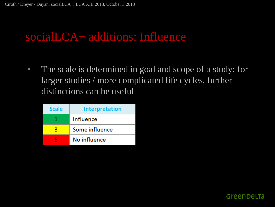### socialLCA+ additions: Influence

• The scale is determined in goal and scope of a study; for larger studies / more complicated life cycles, further distinctions can be useful

| <b>Scale</b> | <b>Interpretation</b> |
|--------------|-----------------------|
| 1            | Influence             |
| R            | Some influence        |
|              | No influence          |

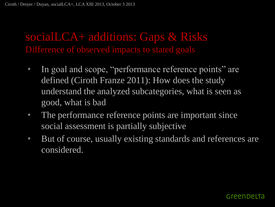### socialLCA+ additions: Gaps & Risks Difference of observed impacts to stated goals

- In goal and scope, "performance reference points" are defined (Ciroth Franze 2011): How does the study understand the analyzed subcategories, what is seen as good, what is bad
- The performance reference points are important since social assessment is partially subjective
- But of course, usually existing standards and references are considered.

#### Greenbelta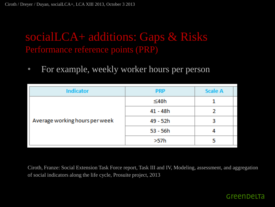### socialLCA+ additions: Gaps & Risks Performance reference points (PRP)

• For example, weekly worker hours per person

| <b>Indicator</b>               | <b>PRP</b> | <b>Scale A</b> |
|--------------------------------|------------|----------------|
| Average working hours per week | $\leq 40h$ |                |
|                                | $41 - 48h$ |                |
|                                | 49 - 52h   | 3              |
|                                | $53 - 56h$ |                |
|                                | >57h       |                |

Ciroth, Franze: Social Extension Task Force report, Task III and IV, Modeling, assessment, and aggregation of social indicators along the life cycle, Prosuite project, 2013

#### Greenbelta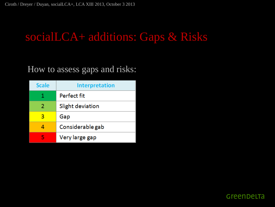## socialLCA+ additions: Gaps & Risks

### How to assess gaps and risks:

| <b>Scale</b> | <b>Interpretation</b> |
|--------------|-----------------------|
| 1.           | Perfect fit           |
| 2            | Slight deviation      |
| з            | Gap                   |
|              | Considerable gab      |
| ц            | Very large gap        |

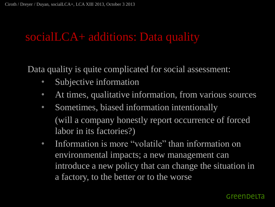Data quality is quite complicated for social assessment:

- Subjective information
- At times, qualitative information, from various sources
- Sometimes, biased information intentionally (will a company honestly report occurrence of forced labor in its factories?)
- Information is more "volatile" than information on environmental impacts; a new management can introduce a new policy that can change the situation in a factory, to the better or to the worse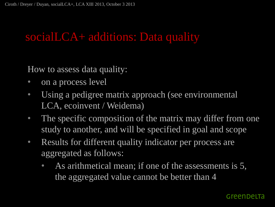How to assess data quality:

- on a process level
- Using a pedigree matrix approach (see environmental LCA, ecoinvent / Weidema)
- The specific composition of the matrix may differ from one study to another, and will be specified in goal and scope
- Results for different quality indicator per process are aggregated as follows:
	- As arithmetical mean; if one of the assessments is 5, the aggregated value cannot be better than 4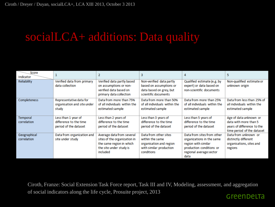| Score<br>Indicator | 1                                                               |                                                                              | 3                                                                            | 4                                                                            | 5                                                                            |
|--------------------|-----------------------------------------------------------------|------------------------------------------------------------------------------|------------------------------------------------------------------------------|------------------------------------------------------------------------------|------------------------------------------------------------------------------|
| Reliability        | Verified data from primary                                      | Verified data partly based                                                   | Non-verified data partly                                                     | Qualified estimate (e.g. by                                                  | Non-qualified estimate or                                                    |
|                    | data collection                                                 | on assumptions or non-<br>verified data based on<br>primary data collection  | based on assumptions or<br>data based on grey, but<br>scientific documents   | expert) or data based on<br>non-scientific documents                         | unknown origin                                                               |
| Completeness       | Representative data for<br>organisation and site under<br>study | Data from more than 75%<br>of all individuals within the<br>estimated sample | Data from more than 50%<br>of all individuals within the<br>estimated sample | Data from more than 25%<br>of all individuals within the<br>estimated sample | Data from less than 25% of<br>all individuals within the<br>estimated sample |
| Temporal           | Less than 1 year of                                             | Less than 2 years of                                                         | Less than 3 years of                                                         | Less than 5 years of                                                         | Age of data unknown or                                                       |
| correlation        | difference to the time                                          | difference to the time                                                       | difference to the time                                                       | difference to the time                                                       | data with more than 5                                                        |
|                    | period of the dataset                                           | period of the dataset                                                        | period of the dataset                                                        | period of the dataset                                                        | years of difference to the<br>time period of the dataset                     |
| Geographical       | Data from organization and                                      | Average data from several                                                    | Data from other sites                                                        | Data from sites from other                                                   | Data from unknown or                                                         |
| correlation        | site under study                                                | sites of the organization in                                                 | within the same                                                              | organizations in the same                                                    | distinctly different                                                         |
|                    |                                                                 | the same region in which<br>the site under study is                          | organisation and region<br>with similar production                           | region with similar<br>production conditions or                              | organisations, sites and<br>regions                                          |
|                    |                                                                 | included                                                                     | conditions                                                                   | regional average sector                                                      |                                                                              |
|                    |                                                                 |                                                                              |                                                                              | data                                                                         |                                                                              |

Ciroth, Franze: Social Extension Task Force report, Task III and IV, Modeling, assessment, and aggregation of social indicators along the life cycle, Prosuite project, 2013GreenDeLTa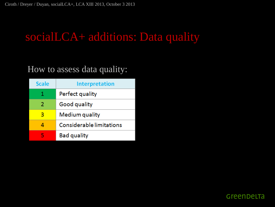### How to assess data quality:

| <b>Scale</b> | <b>Interpretation</b>    |
|--------------|--------------------------|
| 1            | Perfect quality          |
| 2            | Good quality             |
| З            | Medium quality           |
|              | Considerable limitations |
|              | <b>Bad quality</b>       |

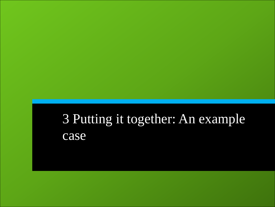# 3 Putting it together: An example case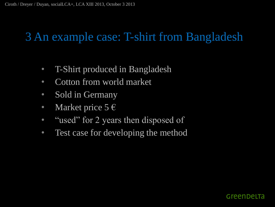- T-Shirt produced in Bangladesh
- Cotton from world market
- Sold in Germany
- Market price  $5 \in$
- "used" for 2 years then disposed of
- Test case for developing the method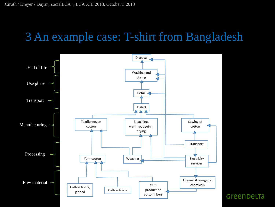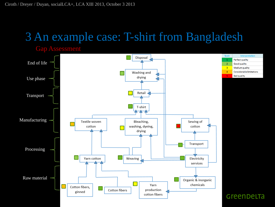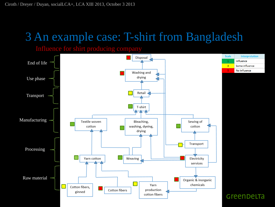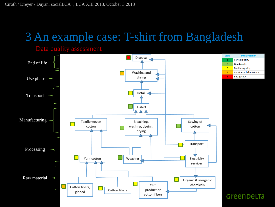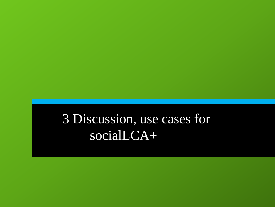# 3 Discussion, use cases for socialLCA+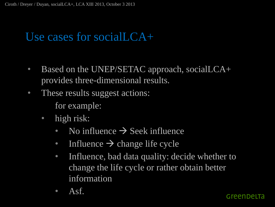- Based on the UNEP/SETAC approach, socialLCA+ provides three-dimensional results.
- These results suggest actions: for example:
	- high risk:
		- No influence  $\rightarrow$  Seek influence
		- Influence  $\rightarrow$  change life cycle
		- Influence, bad data quality: decide whether to change the life cycle or rather obtain better information
		- $\overline{A}$ sf.

#### Greenbelta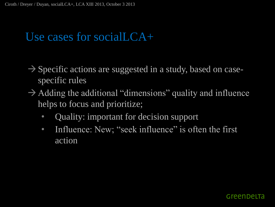- $\rightarrow$  Specific actions are suggested in a study, based on casespecific rules
- $\rightarrow$  Adding the additional "dimensions" quality and influence helps to focus and prioritize;
	- **Quality: important for decision support**
	- Influence: New; "seek influence" is often the first action

#### Greenbelfa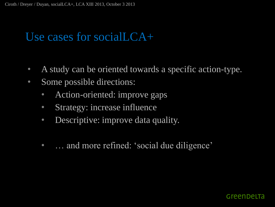- A study can be oriented towards a specific action-type.
- Some possible directions:
	- Action-oriented: improve gaps
	- Strategy: increase influence
	- Descriptive: improve data quality.
	- … and more refined: 'social due diligence'

#### Greenbelta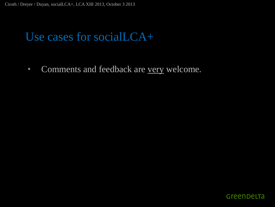• Comments and feedback are very welcome.